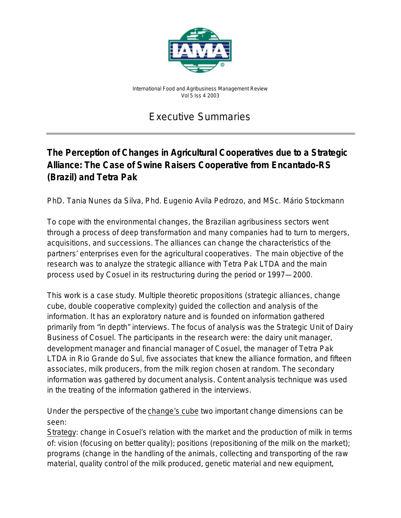

*International Food and Agribusiness Management Review Vol 5 Iss 4 2003*

# Executive Summaries

## **The Perception of Changes in Agricultural Cooperatives due to a Strategic Alliance: The Case of Swine Raisers Cooperative from Encantado-RS (Brazil) and Tetra Pak**

*PhD. Tania Nunes da Silva, Phd. Eugenio Avila Pedrozo, and MSc. Mário Stockmann*

To cope with the environmental changes, the Brazilian agribusiness sectors went through a process of deep transformation and many companies had to turn to mergers, acquisitions, and successions. The alliances can change the characteristics of the partners' enterprises even for the agricultural cooperatives. The main objective of the research was to analyze the strategic alliance with Tetra Pak LTDA and the main process used by Cosuel in its restructuring during the period or 1997—2000.

This work is a case study. Multiple theoretic propositions (strategic alliances, change cube, double cooperative complexity) guided the collection and analysis of the information. It has an exploratory nature and is founded on information gathered primarily from "in depth" interviews. The focus of analysis was the Strategic Unit of Dairy Business of Cosuel. The participants in the research were: the dairy unit manager, development manager and financial manager of Cosuel, the manager of Tetra Pak LTDA in Rio Grande do Sul, five associates that knew the alliance formation, and fifteen associates, milk producers, from the milk region chosen at random. The secondary information was gathered by document analysis. Content analysis technique was used in the treating of the information gathered in the interviews.

Under the perspective of the change's cube two important change dimensions can be seen:

Strategy: change in Cosuel's relation with the market and the production of milk in terms of: vision (focusing on better quality); positions (repositioning of the milk on the market); programs (change in the handling of the animals, collecting and transporting of the raw material, quality control of the milk produced, genetic material and new equipment,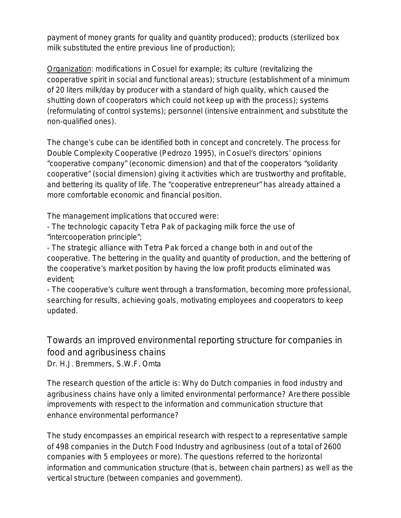payment of money grants for quality and quantity produced); products (sterilized box milk substituted the entire previous line of production);

Organization: modifications in Cosuel for example; its culture (revitalizing the cooperative spirit in social and functional areas); structure (establishment of a minimum of 20 liters milk/day by producer with a standard of high quality, which caused the shutting down of cooperators which could not keep up with the process); systems (reformulating of control systems); personnel (intensive entrainment, and substitute the non-qualified ones).

The change's cube can be identified both in concept and concretely. The process for Double Complexity Cooperative (Pedrozo 1995), in Cosuel's directors' opinions "cooperative company" (economic dimension) and that of the cooperators "solidarity cooperative" (social dimension) giving it activities which are trustworthy and profitable, and bettering its quality of life. The "cooperative entrepreneur" has already attained a more comfortable economic and financial position.

The management implications that occured were:

- The technologic capacity Tetra Pak of packaging milk force the use of "intercooperation principle";

- The strategic alliance with Tetra Pak forced a change both in and out of the cooperative. The bettering in the quality and quantity of production, and the bettering of the cooperative's market position by having the low profit products eliminated was evident;

- The cooperative's culture went through a transformation, becoming more professional, searching for results, achieving goals, motivating employees and cooperators to keep updated.

Towards an improved environmental reporting structure for companies in food and agribusiness chains

*Dr. H.J. Bremmers, S.W.F. Omta*

The research question of the article is: Why do Dutch companies in food industry and agribusiness chains have only a limited environmental performance? Are there possible improvements with respect to the information and communication structure that enhance environmental performance?

The study encompasses an empirical research with respect to a representative sample of 498 companies in the Dutch Food Industry and agribusiness (out of a total of 2600 companies with 5 employees or more). The questions referred to the horizontal information and communication structure (that is, between chain partners) as well as the vertical structure (between companies and government).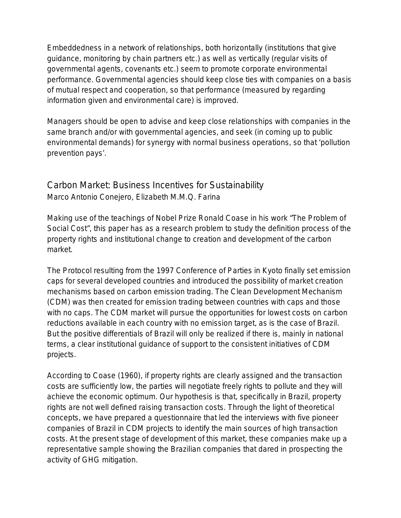Embeddedness in a network of relationships, both horizontally (institutions that give guidance, monitoring by chain partners etc.) as well as vertically (regular visits of governmental agents, covenants etc.) seem to promote corporate environmental performance. Governmental agencies should keep close ties with companies on a basis of mutual respect and cooperation, so that performance (measured by regarding information given and environmental care) is improved.

Managers should be open to advise and keep close relationships with companies in the same branch and/or with governmental agencies, and seek (in coming up to public environmental demands) for synergy with normal business operations, so that 'pollution prevention pays'.

#### Carbon Market: Business Incentives for Sustainability *Marco Antonio Conejero, Elizabeth M.M.Q. Farina*

Making use of the teachings of Nobel Prize Ronald Coase in his work "The Problem of Social Cost", this paper has as a research problem to study the definition process of the property rights and institutional change to creation and development of the carbon market.

The Protocol resulting from the 1997 Conference of Parties in Kyoto finally set emission caps for several developed countries and introduced the possibility of market creation mechanisms based on carbon emission trading. The Clean Development Mechanism (CDM) was then created for emission trading between countries with caps and those with no caps. The CDM market will pursue the opportunities for lowest costs on carbon reductions available in each country with no emission target, as is the case of Brazil. But the positive differentials of Brazil will only be realized if there is, mainly in national terms, a clear institutional guidance of support to the consistent initiatives of CDM projects.

According to Coase (1960), if property rights are clearly assigned and the transaction costs are sufficiently low, the parties will negotiate freely rights to pollute and they will achieve the economic optimum. Our hypothesis is that, specifically in Brazil, property rights are not well defined raising transaction costs. Through the light of theoretical concepts, we have prepared a questionnaire that led the interviews with five pioneer companies of Brazil in CDM projects to identify the main sources of high transaction costs. At the present stage of development of this market, these companies make up a representative sample showing the Brazilian companies that dared in prospecting the activity of GHG mitigation.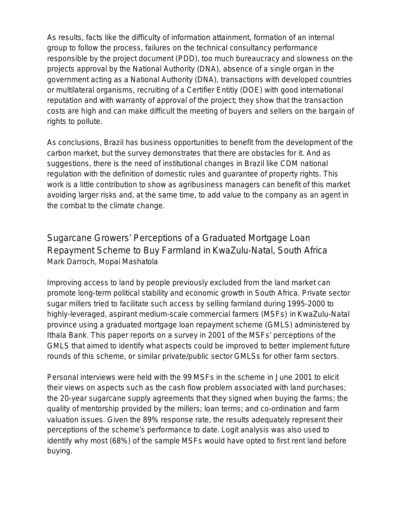As results, facts like the difficulty of information attainment, formation of an internal group to follow the process, failures on the technical consultancy performance responsible by the project document (PDD), too much bureaucracy and slowness on the projects approval by the National Authority (DNA), absence of a single organ in the government acting as a National Authority (DNA), transactions with developed countries or multilateral organisms, recruiting of a Certifier Entitiy (DOE) with good international reputation and with warranty of approval of the project; they show that the transaction costs are high and can make difficult the meeting of buyers and sellers on the bargain of rights to pollute.

As conclusions, Brazil has business opportunities to benefit from the development of the carbon market, but the survey demonstrates that there are obstacles for it. And as suggestions, there is the need of institutional changes in Brazil like CDM national regulation with the definition of domestic rules and guarantee of property rights. This work is a little contribution to show as agribusiness managers can benefit of this market avoiding larger risks and, at the same time, to add value to the company as an agent in the combat to the climate change.

### Sugarcane Growers' Perceptions of a Graduated Mortgage Loan Repayment Scheme to Buy Farmland in KwaZulu-Natal, South Africa *Mark Darroch, Mopai Mashatola*

Improving access to land by people previously excluded from the land market can promote long-term political stability and economic growth in South Africa. Private sector sugar millers tried to facilitate such access by selling farmland during 1995-2000 to highly-leveraged, aspirant medium-scale commercial farmers (MSFs) in KwaZulu-Natal province using a graduated mortgage loan repayment scheme (GMLS) administered by Ithala Bank. This paper reports on a survey in 2001 of the MSFs' perceptions of the GMLS that aimed to identify what aspects could be improved to *better implement* future rounds of this scheme, or similar private/public sector GMLSs for other farm sectors.

Personal interviews were held with the 99 MSFs in the scheme in June 2001 to elicit their views on aspects such as the cash flow problem associated with land purchases; the 20-year sugarcane supply agreements that they signed when buying the farms; the quality of mentorship provided by the millers; loan terms; and co-ordination and farm valuation issues. Given the 89% response rate, the results adequately represent their perceptions of the scheme's performance to date. Logit analysis was also used to identify why most (68%) of the sample MSFs would have opted to first rent land before buying.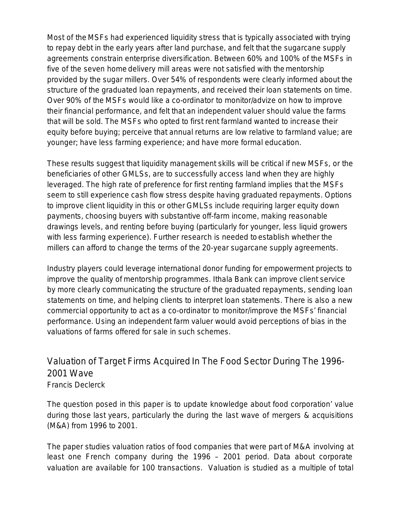Most of the MSFs had experienced liquidity stress that is typically associated with trying to repay debt in the early years after land purchase, and felt that the sugarcane supply agreements constrain enterprise diversification. Between 60% and 100% of the MSFs in five of the seven home delivery mill areas were not satisfied with the mentorship provided by the sugar millers. Over 54% of respondents were clearly informed about the structure of the graduated loan repayments, and received their loan statements on time. Over 90% of the MSFs would like a co-ordinator to monitor/advize on how to improve their financial performance, and felt that an independent valuer should value the farms that will be sold. The MSFs who opted to first rent farmland wanted to increase their equity before buying; perceive that annual returns are low relative to farmland value; are younger; have less farming experience; and have more formal education.

These results suggest that liquidity management skills will be critical if new MSFs, or the beneficiaries of other GMLSs, are to successfully access land when they are highly leveraged. The high rate of preference for first renting farmland implies that the MSFs seem to still experience cash flow stress despite having graduated repayments. Options to improve client liquidity in this or other GMLSs include requiring larger equity down payments, choosing buyers with substantive off-farm income, making reasonable drawings levels, and renting before buying (particularly for younger, less liquid growers with less farming experience). Further research is needed to establish whether the millers can afford to change the terms of the 20-year sugarcane supply agreements.

Industry players could leverage international donor funding for empowerment projects to improve the quality of mentorship programmes. Ithala Bank can improve client service by more clearly communicating the structure of the graduated repayments, sending loan statements on time, and helping clients to interpret loan statements. There is also a new commercial opportunity to act as a co-ordinator to monitor/improve the MSFs' financial performance. Using an independent farm valuer would avoid perceptions of bias in the valuations of farms offered for sale in such schemes.

#### Valuation of Target Firms Acquired In The Food Sector During The 1996- 2001 Wave *Francis Declerck*

The question posed in this paper is to update knowledge about food corporation' value during those last years, particularly the during the last wave of mergers & acquisitions (M&A) from 1996 to 2001.

The paper studies valuation ratios of food companies that were part of M&A involving at least one French company during the 1996 – 2001 period. Data about corporate valuation are available for 100 transactions. Valuation is studied as a multiple of total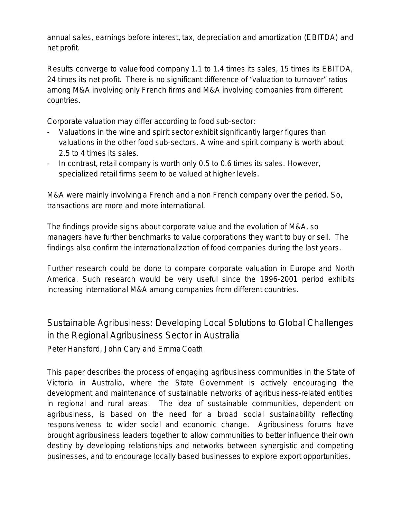annual sales, earnings before interest, tax, depreciation and amortization (EBITDA) and net profit.

Results converge to value food company 1.1 to 1.4 times its sales, 15 times its EBITDA, 24 times its net profit. There is no significant difference of "valuation to turnover" ratios among M&A involving only French firms and M&A involving companies from different countries.

Corporate valuation may differ according to food sub-sector:

- Valuations in the wine and spirit sector exhibit significantly larger figures than valuations in the other food sub-sectors. A wine and spirit company is worth about 2.5 to 4 times its sales.
- In contrast, retail company is worth only 0.5 to 0.6 times its sales. However, specialized retail firms seem to be valued at higher levels.

M&A were mainly involving a French and a non French company over the period. So, transactions are more and more international.

The findings provide signs about corporate value and the evolution of M&A, so managers have further benchmarks to value corporations they want to buy or sell. The findings also confirm the internationalization of food companies during the last years.

Further research could be done to compare corporate valuation in Europe and North America. Such research would be very useful since the 1996-2001 period exhibits increasing international M&A among companies from different countries.

Sustainable Agribusiness: Developing Local Solutions to Global Challenges in the Regional Agribusiness Sector in Australia *Peter Hansford, John Cary and Emma Coath*

This paper describes the process of engaging agribusiness communities in the State of Victoria in Australia, where the State Government is actively encouraging the development and maintenance of sustainable networks of agribusiness-related entities in regional and rural areas. The idea of sustainable communities, dependent on agribusiness, is based on the need for a *broad social sustainability* reflecting responsiveness to wider social and economic change. Agribusiness forums have brought agribusiness leaders together to allow communities to better influence their own destiny by developing relationships and networks between synergistic and competing businesses, and to encourage locally based businesses to explore export opportunities.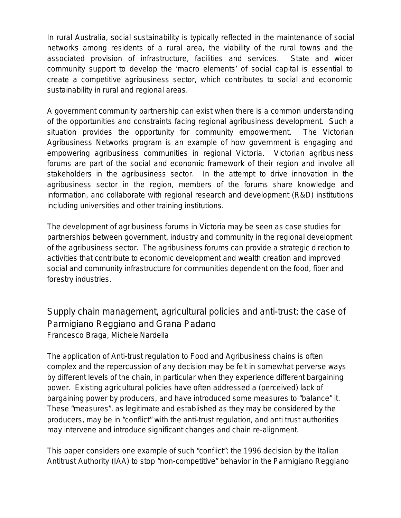In rural Australia, social sustainability is typically reflected in the maintenance of social networks among residents of a rural area, the viability of the rural towns and the associated provision of infrastructure, facilities and services. State and wider community support to develop the 'macro elements' of social capital is essential to create a competitive agribusiness sector, which contributes to social and economic sustainability in rural and regional areas.

A government community partnership can exist when there is a common understanding of the opportunities and constraints facing regional agribusiness development. Such a situation provides the opportunity for community empowerment. The Victorian Agribusiness Networks program is an example of how government is engaging and empowering agribusiness communities in regional Victoria. Victorian agribusiness forums are part of the social and economic framework of their region and involve all stakeholders in the agribusiness sector. In the attempt to drive innovation in the agribusiness sector in the region, members of the forums share knowledge and information, and collaborate with regional research and development (R&D) institutions including universities and other training institutions.

The development of agribusiness forums in Victoria may be seen as case studies for partnerships between government, industry and community in the regional development of the agribusiness sector. The agribusiness forums can provide a strategic direction to activities that contribute to economic development and wealth creation and improved social and community infrastructure for communities dependent on the food, fiber and forestry industries.

Supply chain management, agricultural policies and anti-trust: the case of Parmigiano Reggiano and Grana Padano *Francesco Braga, Michele Nardella*

The application of Anti-trust regulation to Food and Agribusiness chains is often complex and the repercussion of any decision may be felt in somewhat perverse ways by different levels of the chain, in particular when they experience different bargaining power. Existing agricultural policies have often addressed a (perceived) lack of bargaining power by producers, and have introduced some measures to "balance" it. These "measures", as legitimate and established as they may be considered by the producers, may be in "conflict" with the anti-trust regulation, and anti trust authorities may intervene and introduce significant changes and chain re-alignment.

This paper considers one example of such "conflict": the 1996 decision by the Italian Antitrust Authority (IAA) to stop "non-competitive" behavior in the Parmigiano Reggiano